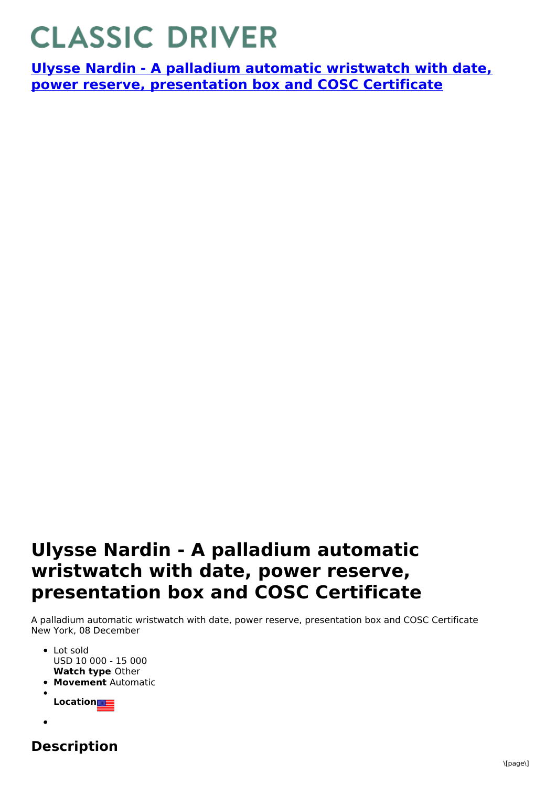## **CLASSIC DRIVER**

**Ulysse Nardin - A palladium automatic wristwatch with date, power reserve, [presentation](https://www.classicdriver.com/en/watch/ulysse-nardin/273613) box and COSC Certificate**

## **Ulysse Nardin - A palladium automatic wristwatch with date, power reserve, presentation box and COSC Certificate**

A palladium automatic wristwatch with date, power reserve, presentation box and COSC Certificate New York, 08 December

- **Watch type** Other **Movement** Automatic **Location** • Lot sold USD 10 000 - 15 000
- 
- **Description**